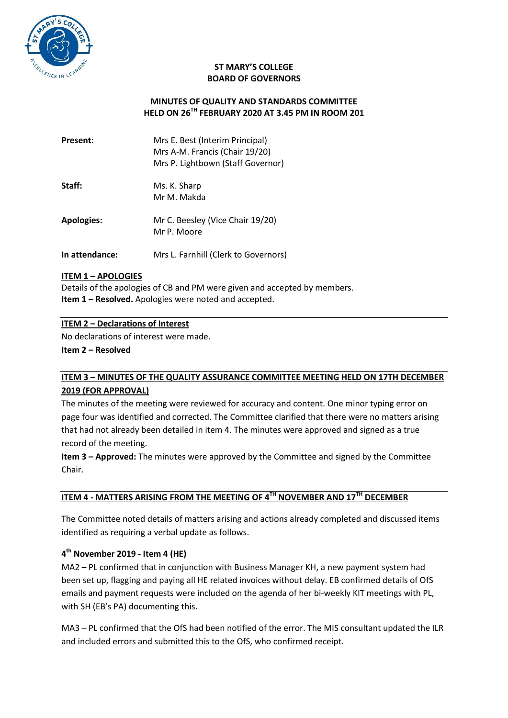

### **ST MARY'S COLLEGE BOARD OF GOVERNORS**

## **MINUTES OF QUALITY AND STANDARDS COMMITTEE HELD ON 26TH FEBRUARY 2020 AT 3.45 PM IN ROOM 201**

| Present:          | Mrs E. Best (Interim Principal)<br>Mrs A-M. Francis (Chair 19/20)<br>Mrs P. Lightbown (Staff Governor) |
|-------------------|--------------------------------------------------------------------------------------------------------|
| Staff:            | Ms. K. Sharp<br>Mr M. Makda                                                                            |
| <b>Apologies:</b> | Mr C. Beesley (Vice Chair 19/20)<br>Mr P. Moore                                                        |
| In attendance:    | Mrs L. Farnhill (Clerk to Governors)                                                                   |

### **ITEM 1 – APOLOGIES**

Details of the apologies of CB and PM were given and accepted by members. **Item 1 – Resolved.** Apologies were noted and accepted.

### **ITEM 2 – Declarations of Interest**

No declarations of interest were made.

**Item 2 – Resolved**

# **ITEM 3 – MINUTES OF THE QUALITY ASSURANCE COMMITTEE MEETING HELD ON 17TH DECEMBER 2019 (FOR APPROVAL)**

The minutes of the meeting were reviewed for accuracy and content. One minor typing error on page four was identified and corrected. The Committee clarified that there were no matters arising that had not already been detailed in item 4. The minutes were approved and signed as a true record of the meeting.

**Item 3 – Approved:** The minutes were approved by the Committee and signed by the Committee Chair.

# **ITEM 4 - MATTERS ARISING FROM THE MEETING OF 4TH NOVEMBER AND 17TH DECEMBER**

The Committee noted details of matters arising and actions already completed and discussed items identified as requiring a verbal update as follows.

## **4 th November 2019 - Item 4 (HE)**

MA2 – PL confirmed that in conjunction with Business Manager KH, a new payment system had been set up, flagging and paying all HE related invoices without delay. EB confirmed details of OfS emails and payment requests were included on the agenda of her bi-weekly KIT meetings with PL, with SH (EB's PA) documenting this.

MA3 – PL confirmed that the OfS had been notified of the error. The MIS consultant updated the ILR and included errors and submitted this to the OfS, who confirmed receipt.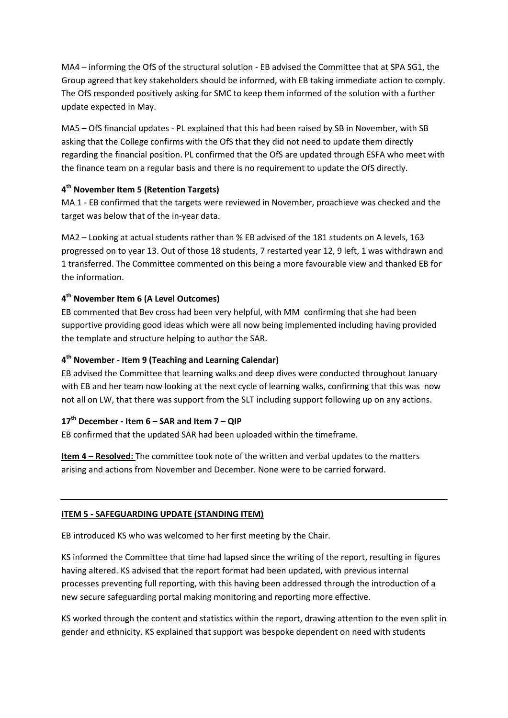MA4 – informing the OfS of the structural solution - EB advised the Committee that at SPA SG1, the Group agreed that key stakeholders should be informed, with EB taking immediate action to comply. The OfS responded positively asking for SMC to keep them informed of the solution with a further update expected in May.

MA5 – OfS financial updates - PL explained that this had been raised by SB in November, with SB asking that the College confirms with the OfS that they did not need to update them directly regarding the financial position. PL confirmed that the OfS are updated through ESFA who meet with the finance team on a regular basis and there is no requirement to update the OfS directly.

## **4 th November Item 5 (Retention Targets)**

MA 1 - EB confirmed that the targets were reviewed in November, proachieve was checked and the target was below that of the in-year data.

MA2 – Looking at actual students rather than % EB advised of the 181 students on A levels, 163 progressed on to year 13. Out of those 18 students, 7 restarted year 12, 9 left, 1 was withdrawn and 1 transferred. The Committee commented on this being a more favourable view and thanked EB for the information.

## **4 th November Item 6 (A Level Outcomes)**

EB commented that Bev cross had been very helpful, with MM confirming that she had been supportive providing good ideas which were all now being implemented including having provided the template and structure helping to author the SAR.

## **4 th November - Item 9 (Teaching and Learning Calendar)**

EB advised the Committee that learning walks and deep dives were conducted throughout January with EB and her team now looking at the next cycle of learning walks, confirming that this was now not all on LW, that there was support from the SLT including support following up on any actions.

## **17th December - Item 6 – SAR and Item 7 – QIP**

EB confirmed that the updated SAR had been uploaded within the timeframe.

**Item 4 – Resolved:** The committee took note of the written and verbal updates to the matters arising and actions from November and December. None were to be carried forward.

## **ITEM 5 - SAFEGUARDING UPDATE (STANDING ITEM)**

EB introduced KS who was welcomed to her first meeting by the Chair.

KS informed the Committee that time had lapsed since the writing of the report, resulting in figures having altered. KS advised that the report format had been updated, with previous internal processes preventing full reporting, with this having been addressed through the introduction of a new secure safeguarding portal making monitoring and reporting more effective.

KS worked through the content and statistics within the report, drawing attention to the even split in gender and ethnicity. KS explained that support was bespoke dependent on need with students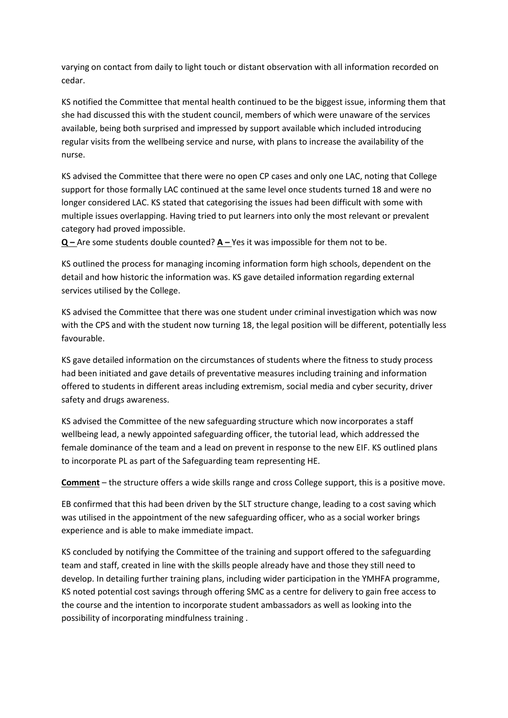varying on contact from daily to light touch or distant observation with all information recorded on cedar.

KS notified the Committee that mental health continued to be the biggest issue, informing them that she had discussed this with the student council, members of which were unaware of the services available, being both surprised and impressed by support available which included introducing regular visits from the wellbeing service and nurse, with plans to increase the availability of the nurse.

KS advised the Committee that there were no open CP cases and only one LAC, noting that College support for those formally LAC continued at the same level once students turned 18 and were no longer considered LAC. KS stated that categorising the issues had been difficult with some with multiple issues overlapping. Having tried to put learners into only the most relevant or prevalent category had proved impossible.

**Q** – Are some students double counted? **A** – Yes it was impossible for them not to be.

KS outlined the process for managing incoming information form high schools, dependent on the detail and how historic the information was. KS gave detailed information regarding external services utilised by the College.

KS advised the Committee that there was one student under criminal investigation which was now with the CPS and with the student now turning 18, the legal position will be different, potentially less favourable.

KS gave detailed information on the circumstances of students where the fitness to study process had been initiated and gave details of preventative measures including training and information offered to students in different areas including extremism, social media and cyber security, driver safety and drugs awareness.

KS advised the Committee of the new safeguarding structure which now incorporates a staff wellbeing lead, a newly appointed safeguarding officer, the tutorial lead, which addressed the female dominance of the team and a lead on prevent in response to the new EIF. KS outlined plans to incorporate PL as part of the Safeguarding team representing HE.

**Comment** – the structure offers a wide skills range and cross College support, this is a positive move.

EB confirmed that this had been driven by the SLT structure change, leading to a cost saving which was utilised in the appointment of the new safeguarding officer, who as a social worker brings experience and is able to make immediate impact.

KS concluded by notifying the Committee of the training and support offered to the safeguarding team and staff, created in line with the skills people already have and those they still need to develop. In detailing further training plans, including wider participation in the YMHFA programme, KS noted potential cost savings through offering SMC as a centre for delivery to gain free access to the course and the intention to incorporate student ambassadors as well as looking into the possibility of incorporating mindfulness training .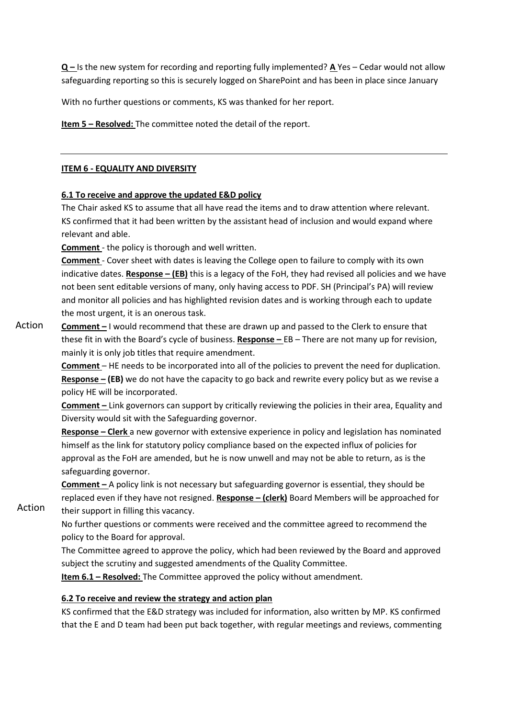**Q –** Is the new system for recording and reporting fully implemented? **A** Yes – Cedar would not allow safeguarding reporting so this is securely logged on SharePoint and has been in place since January

With no further questions or comments, KS was thanked for her report.

**Item 5 – Resolved:** The committee noted the detail of the report.

### **ITEM 6 - EQUALITY AND DIVERSITY**

### **6.1 To receive and approve the updated E&D policy**

The Chair asked KS to assume that all have read the items and to draw attention where relevant. KS confirmed that it had been written by the assistant head of inclusion and would expand where relevant and able.

**Comment** - the policy is thorough and well written.

**Comment** - Cover sheet with dates is leaving the College open to failure to comply with its own indicative dates. **Response – (EB)** this is a legacy of the FoH, they had revised all policies and we have not been sent editable versions of many, only having access to PDF. SH (Principal's PA) will review and monitor all policies and has highlighted revision dates and is working through each to update the most urgent, it is an onerous task.

**Comment –** I would recommend that these are drawn up and passed to the Clerk to ensure that these fit in with the Board's cycle of business. **Response –** EB – There are not many up for revision, mainly it is only job titles that require amendment. Action

> **Comment** – HE needs to be incorporated into all of the policies to prevent the need for duplication. **Response – (EB)** we do not have the capacity to go back and rewrite every policy but as we revise a policy HE will be incorporated.

> **Comment –** Link governors can support by critically reviewing the policies in their area, Equality and Diversity would sit with the Safeguarding governor.

> **Response – Clerk** a new governor with extensive experience in policy and legislation has nominated himself as the link for statutory policy compliance based on the expected influx of policies for approval as the FoH are amended, but he is now unwell and may not be able to return, as is the safeguarding governor.

> **Comment –** A policy link is not necessary but safeguarding governor is essential, they should be replaced even if they have not resigned. **Response – (clerk)** Board Members will be approached for their support in filling this vacancy.

No further questions or comments were received and the committee agreed to recommend the policy to the Board for approval.

The Committee agreed to approve the policy, which had been reviewed by the Board and approved subject the scrutiny and suggested amendments of the Quality Committee.

**Item 6.1 – Resolved:** The Committee approved the policy without amendment.

## **6.2 To receive and review the strategy and action plan**

Action

KS confirmed that the E&D strategy was included for information, also written by MP. KS confirmed that the E and D team had been put back together, with regular meetings and reviews, commenting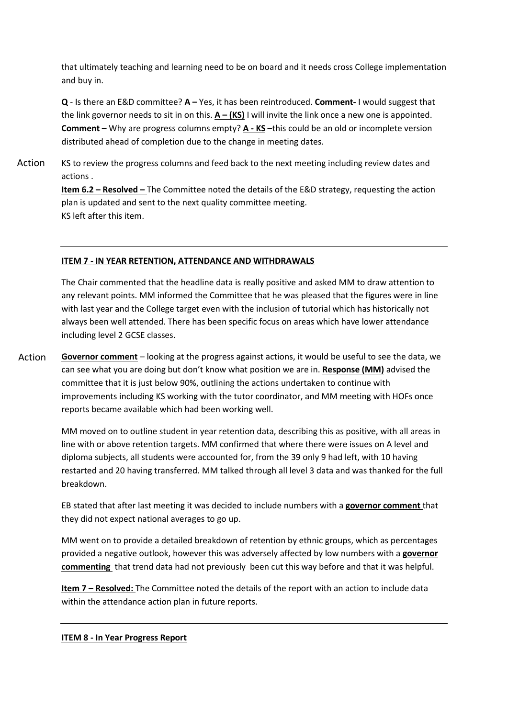that ultimately teaching and learning need to be on board and it needs cross College implementation and buy in.

**Q** - Is there an E&D committee? **A –** Yes, it has been reintroduced. **Comment-** I would suggest that the link governor needs to sit in on this. **A – (KS)** I will invite the link once a new one is appointed. **Comment –** Why are progress columns empty? **A - KS** –this could be an old or incomplete version distributed ahead of completion due to the change in meeting dates.

KS to review the progress columns and feed back to the next meeting including review dates and actions . Action

> **Item 6.2 – Resolved –** The Committee noted the details of the E&D strategy, requesting the action plan is updated and sent to the next quality committee meeting. KS left after this item.

## **ITEM 7 - IN YEAR RETENTION, ATTENDANCE AND WITHDRAWALS**

The Chair commented that the headline data is really positive and asked MM to draw attention to any relevant points. MM informed the Committee that he was pleased that the figures were in line with last year and the College target even with the inclusion of tutorial which has historically not always been well attended. There has been specific focus on areas which have lower attendance including level 2 GCSE classes.

**Governor comment** – looking at the progress against actions, it would be useful to see the data, we can see what you are doing but don't know what position we are in. **Response (MM)** advised the committee that it is just below 90%, outlining the actions undertaken to continue with improvements including KS working with the tutor coordinator, and MM meeting with HOFs once reports became available which had been working well. Action

> MM moved on to outline student in year retention data, describing this as positive, with all areas in line with or above retention targets. MM confirmed that where there were issues on A level and diploma subjects, all students were accounted for, from the 39 only 9 had left, with 10 having restarted and 20 having transferred. MM talked through all level 3 data and was thanked for the full breakdown.

EB stated that after last meeting it was decided to include numbers with a **governor comment** that they did not expect national averages to go up.

MM went on to provide a detailed breakdown of retention by ethnic groups, which as percentages provided a negative outlook, however this was adversely affected by low numbers with a **governor commenting** that trend data had not previously been cut this way before and that it was helpful.

**Item 7 – Resolved:** The Committee noted the details of the report with an action to include data within the attendance action plan in future reports.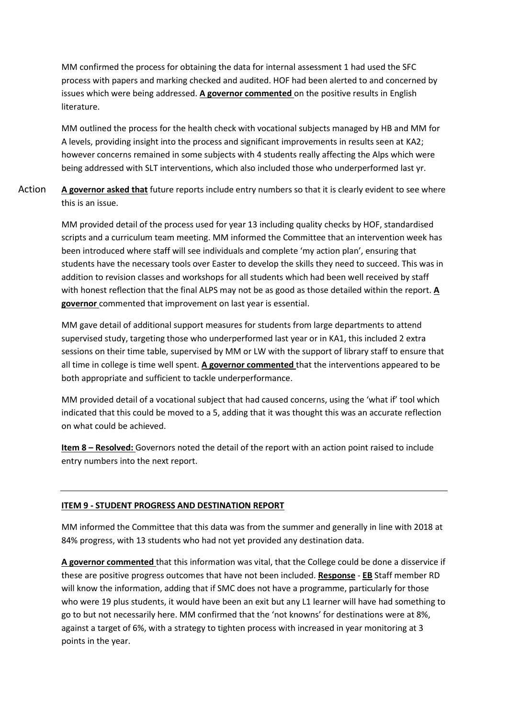MM confirmed the process for obtaining the data for internal assessment 1 had used the SFC process with papers and marking checked and audited. HOF had been alerted to and concerned by issues which were being addressed. **A governor commented** on the positive results in English literature.

MM outlined the process for the health check with vocational subjects managed by HB and MM for A levels, providing insight into the process and significant improvements in results seen at KA2; however concerns remained in some subjects with 4 students really affecting the Alps which were being addressed with SLT interventions, which also included those who underperformed last yr.

**A governor asked that** future reports include entry numbers so that it is clearly evident to see where this is an issue. Action

> MM provided detail of the process used for year 13 including quality checks by HOF, standardised scripts and a curriculum team meeting. MM informed the Committee that an intervention week has been introduced where staff will see individuals and complete 'my action plan', ensuring that students have the necessary tools over Easter to develop the skills they need to succeed. This was in addition to revision classes and workshops for all students which had been well received by staff with honest reflection that the final ALPS may not be as good as those detailed within the report. **A governor** commented that improvement on last year is essential.

> MM gave detail of additional support measures for students from large departments to attend supervised study, targeting those who underperformed last year or in KA1, this included 2 extra sessions on their time table, supervised by MM or LW with the support of library staff to ensure that all time in college is time well spent. **A governor commented** that the interventions appeared to be both appropriate and sufficient to tackle underperformance.

> MM provided detail of a vocational subject that had caused concerns, using the 'what if' tool which indicated that this could be moved to a 5, adding that it was thought this was an accurate reflection on what could be achieved.

**Item 8 – Resolved:** Governors noted the detail of the report with an action point raised to include entry numbers into the next report.

#### **ITEM 9 - STUDENT PROGRESS AND DESTINATION REPORT**

MM informed the Committee that this data was from the summer and generally in line with 2018 at 84% progress, with 13 students who had not yet provided any destination data.

**A governor commented** that this information was vital, that the College could be done a disservice if these are positive progress outcomes that have not been included. **Response** - **EB** Staff member RD will know the information, adding that if SMC does not have a programme, particularly for those who were 19 plus students, it would have been an exit but any L1 learner will have had something to go to but not necessarily here. MM confirmed that the 'not knowns' for destinations were at 8%, against a target of 6%, with a strategy to tighten process with increased in year monitoring at 3 points in the year.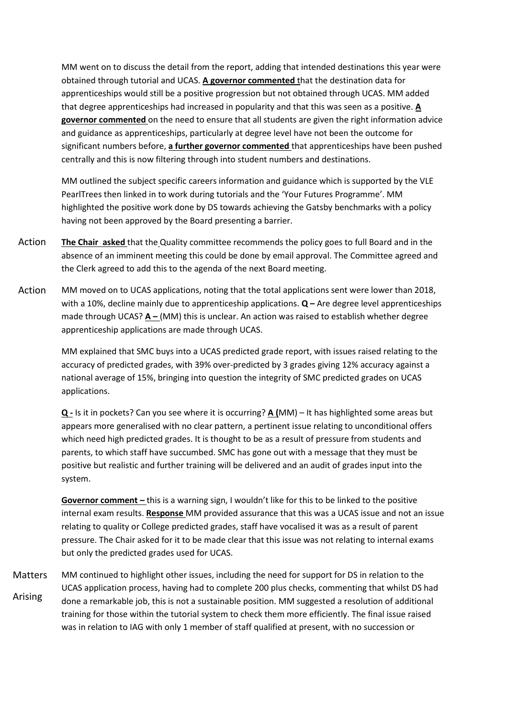MM went on to discuss the detail from the report, adding that intended destinations this year were obtained through tutorial and UCAS. **A governor commented** that the destination data for apprenticeships would still be a positive progression but not obtained through UCAS. MM added that degree apprenticeships had increased in popularity and that this was seen as a positive. **A governor commented** on the need to ensure that all students are given the right information advice and guidance as apprenticeships, particularly at degree level have not been the outcome for significant numbers before, **a further governor commented** that apprenticeships have been pushed centrally and this is now filtering through into student numbers and destinations.

MM outlined the subject specific careers information and guidance which is supported by the VLE PearlTrees then linked in to work during tutorials and the 'Your Futures Programme'. MM highlighted the positive work done by DS towards achieving the Gatsby benchmarks with a policy having not been approved by the Board presenting a barrier.

- **The Chair asked** that the Quality committee recommends the policy goes to full Board and in the absence of an imminent meeting this could be done by email approval. The Committee agreed and the Clerk agreed to add this to the agenda of the next Board meeting. Action
- MM moved on to UCAS applications, noting that the total applications sent were lower than 2018, with a 10%, decline mainly due to apprenticeship applications. **Q –** Are degree level apprenticeships made through UCAS? **A –** (MM) this is unclear. An action was raised to establish whether degree apprenticeship applications are made through UCAS. Action

MM explained that SMC buys into a UCAS predicted grade report, with issues raised relating to the accuracy of predicted grades, with 39% over-predicted by 3 grades giving 12% accuracy against a national average of 15%, bringing into question the integrity of SMC predicted grades on UCAS applications.

**Q -** Is it in pockets? Can you see where it is occurring? **A (**MM) – It has highlighted some areas but appears more generalised with no clear pattern, a pertinent issue relating to unconditional offers which need high predicted grades. It is thought to be as a result of pressure from students and parents, to which staff have succumbed. SMC has gone out with a message that they must be positive but realistic and further training will be delivered and an audit of grades input into the system.

**Governor comment –** this is a warning sign, I wouldn't like for this to be linked to the positive internal exam results. **Response** MM provided assurance that this was a UCAS issue and not an issue relating to quality or College predicted grades, staff have vocalised it was as a result of parent pressure. The Chair asked for it to be made clear that this issue was not relating to internal exams but only the predicted grades used for UCAS.

MM continued to highlight other issues, including the need for support for DS in relation to the UCAS application process, having had to complete 200 plus checks, commenting that whilst DS had done a remarkable job, this is not a sustainable position. MM suggested a resolution of additional training for those within the tutorial system to check them more efficiently. The final issue raised was in relation to IAG with only 1 member of staff qualified at present, with no succession or Matters Arising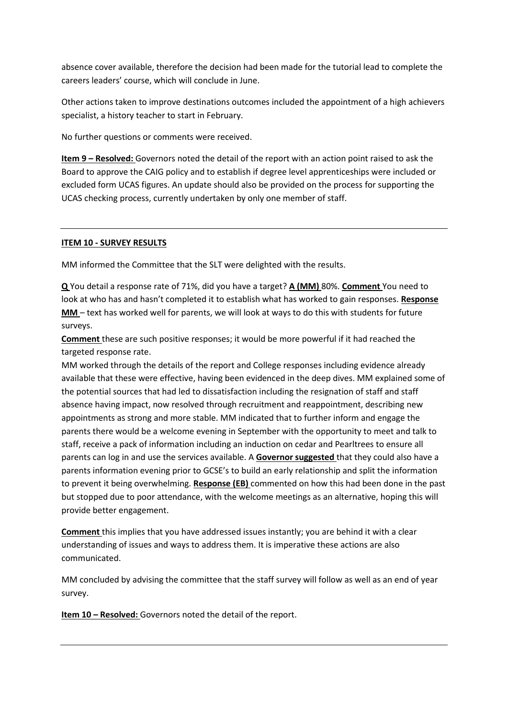absence cover available, therefore the decision had been made for the tutorial lead to complete the careers leaders' course, which will conclude in June.

Other actions taken to improve destinations outcomes included the appointment of a high achievers specialist, a history teacher to start in February.

No further questions or comments were received.

**Item 9 – Resolved:** Governors noted the detail of the report with an action point raised to ask the Board to approve the CAIG policy and to establish if degree level apprenticeships were included or excluded form UCAS figures. An update should also be provided on the process for supporting the UCAS checking process, currently undertaken by only one member of staff.

### **ITEM 10 - SURVEY RESULTS**

MM informed the Committee that the SLT were delighted with the results.

**Q** You detail a response rate of 71%, did you have a target? **A (MM)** 80%. **Comment** You need to look at who has and hasn't completed it to establish what has worked to gain responses. **Response MM** – text has worked well for parents, we will look at ways to do this with students for future surveys.

**Comment** these are such positive responses; it would be more powerful if it had reached the targeted response rate.

MM worked through the details of the report and College responses including evidence already available that these were effective, having been evidenced in the deep dives. MM explained some of the potential sources that had led to dissatisfaction including the resignation of staff and staff absence having impact, now resolved through recruitment and reappointment, describing new appointments as strong and more stable. MM indicated that to further inform and engage the parents there would be a welcome evening in September with the opportunity to meet and talk to staff, receive a pack of information including an induction on cedar and Pearltrees to ensure all parents can log in and use the services available. A **Governor suggested** that they could also have a parents information evening prior to GCSE's to build an early relationship and split the information to prevent it being overwhelming. **Response (EB)** commented on how this had been done in the past but stopped due to poor attendance, with the welcome meetings as an alternative, hoping this will provide better engagement.

**Comment** this implies that you have addressed issues instantly; you are behind it with a clear understanding of issues and ways to address them. It is imperative these actions are also communicated.

MM concluded by advising the committee that the staff survey will follow as well as an end of year survey.

**Item 10 – Resolved:** Governors noted the detail of the report.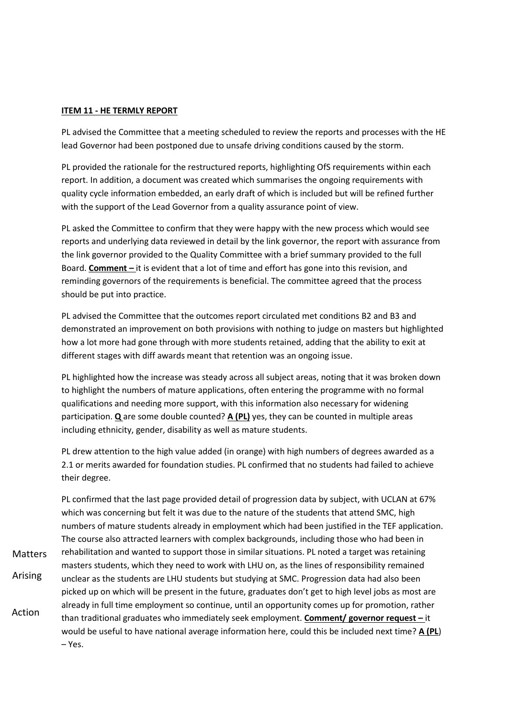#### **ITEM 11 - HE TERMLY REPORT**

PL advised the Committee that a meeting scheduled to review the reports and processes with the HE lead Governor had been postponed due to unsafe driving conditions caused by the storm.

PL provided the rationale for the restructured reports, highlighting OfS requirements within each report. In addition, a document was created which summarises the ongoing requirements with quality cycle information embedded, an early draft of which is included but will be refined further with the support of the Lead Governor from a quality assurance point of view.

PL asked the Committee to confirm that they were happy with the new process which would see reports and underlying data reviewed in detail by the link governor, the report with assurance from the link governor provided to the Quality Committee with a brief summary provided to the full Board. **Comment –** it is evident that a lot of time and effort has gone into this revision, and reminding governors of the requirements is beneficial. The committee agreed that the process should be put into practice.

PL advised the Committee that the outcomes report circulated met conditions B2 and B3 and demonstrated an improvement on both provisions with nothing to judge on masters but highlighted how a lot more had gone through with more students retained, adding that the ability to exit at different stages with diff awards meant that retention was an ongoing issue.

PL highlighted how the increase was steady across all subject areas, noting that it was broken down to highlight the numbers of mature applications, often entering the programme with no formal qualifications and needing more support, with this information also necessary for widening participation. **Q** are some double counted? **A (PL)** yes, they can be counted in multiple areas including ethnicity, gender, disability as well as mature students.

PL drew attention to the high value added (in orange) with high numbers of degrees awarded as a 2.1 or merits awarded for foundation studies. PL confirmed that no students had failed to achieve their degree.

PL confirmed that the last page provided detail of progression data by subject, with UCLAN at 67% which was concerning but felt it was due to the nature of the students that attend SMC, high numbers of mature students already in employment which had been justified in the TEF application. The course also attracted learners with complex backgrounds, including those who had been in rehabilitation and wanted to support those in similar situations. PL noted a target was retaining masters students, which they need to work with LHU on, as the lines of responsibility remained unclear as the students are LHU students but studying at SMC. Progression data had also been picked up on which will be present in the future, graduates don't get to high level jobs as most are already in full time employment so continue, until an opportunity comes up for promotion, rather than traditional graduates who immediately seek employment. **Comment/ governor request –** it would be useful to have national average information here, could this be included next time? **A (PL**) – Yes. Action **Matters** Arising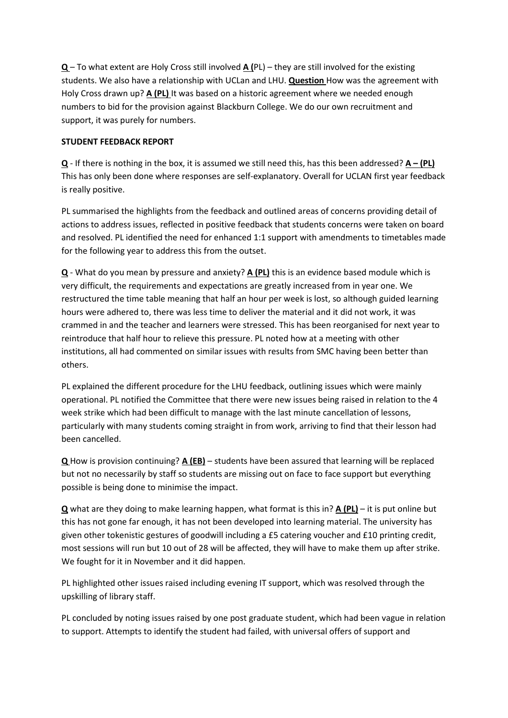**Q** – To what extent are Holy Cross still involved **A (**PL) – they are still involved for the existing students. We also have a relationship with UCLan and LHU. **Question** How was the agreement with Holy Cross drawn up? **A (PL)** It was based on a historic agreement where we needed enough numbers to bid for the provision against Blackburn College. We do our own recruitment and support, it was purely for numbers.

# **STUDENT FEEDBACK REPORT**

**Q** - If there is nothing in the box, it is assumed we still need this, has this been addressed? **A – (PL)** This has only been done where responses are self-explanatory. Overall for UCLAN first year feedback is really positive.

PL summarised the highlights from the feedback and outlined areas of concerns providing detail of actions to address issues, reflected in positive feedback that students concerns were taken on board and resolved. PL identified the need for enhanced 1:1 support with amendments to timetables made for the following year to address this from the outset.

**Q** - What do you mean by pressure and anxiety? **A (PL)** this is an evidence based module which is very difficult, the requirements and expectations are greatly increased from in year one. We restructured the time table meaning that half an hour per week is lost, so although guided learning hours were adhered to, there was less time to deliver the material and it did not work, it was crammed in and the teacher and learners were stressed. This has been reorganised for next year to reintroduce that half hour to relieve this pressure. PL noted how at a meeting with other institutions, all had commented on similar issues with results from SMC having been better than others.

PL explained the different procedure for the LHU feedback, outlining issues which were mainly operational. PL notified the Committee that there were new issues being raised in relation to the 4 week strike which had been difficult to manage with the last minute cancellation of lessons, particularly with many students coming straight in from work, arriving to find that their lesson had been cancelled.

**Q** How is provision continuing? **A (EB)** – students have been assured that learning will be replaced but not no necessarily by staff so students are missing out on face to face support but everything possible is being done to minimise the impact.

**Q** what are they doing to make learning happen, what format is this in? **A (PL)** – it is put online but this has not gone far enough, it has not been developed into learning material. The university has given other tokenistic gestures of goodwill including a £5 catering voucher and £10 printing credit, most sessions will run but 10 out of 28 will be affected, they will have to make them up after strike. We fought for it in November and it did happen.

PL highlighted other issues raised including evening IT support, which was resolved through the upskilling of library staff.

PL concluded by noting issues raised by one post graduate student, which had been vague in relation to support. Attempts to identify the student had failed, with universal offers of support and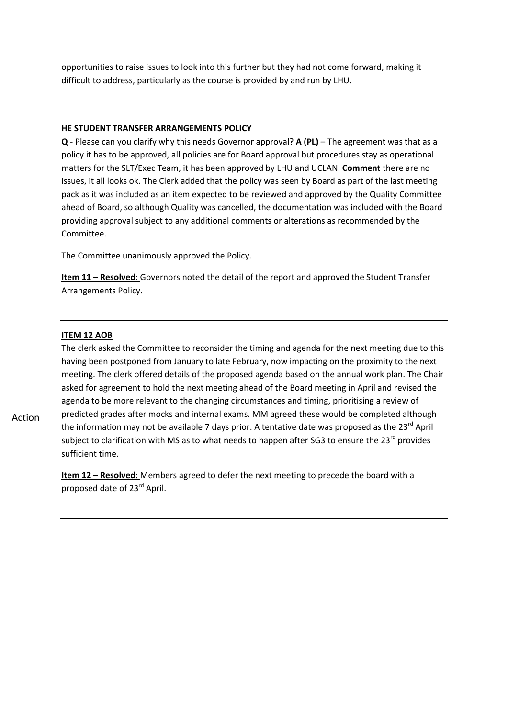opportunities to raise issues to look into this further but they had not come forward, making it difficult to address, particularly as the course is provided by and run by LHU.

#### **HE STUDENT TRANSFER ARRANGEMENTS POLICY**

**Q** - Please can you clarify why this needs Governor approval? **A (PL)** – The agreement was that as a policy it has to be approved, all policies are for Board approval but procedures stay as operational matters for the SLT/Exec Team, it has been approved by LHU and UCLAN. **Comment** there are no issues, it all looks ok. The Clerk added that the policy was seen by Board as part of the last meeting pack as it was included as an item expected to be reviewed and approved by the Quality Committee ahead of Board, so although Quality was cancelled, the documentation was included with the Board providing approval subject to any additional comments or alterations as recommended by the Committee.

The Committee unanimously approved the Policy.

**Item 11 – Resolved:** Governors noted the detail of the report and approved the Student Transfer Arrangements Policy.

### **ITEM 12 AOB**

The clerk asked the Committee to reconsider the timing and agenda for the next meeting due to this having been postponed from January to late February, now impacting on the proximity to the next meeting. The clerk offered details of the proposed agenda based on the annual work plan. The Chair asked for agreement to hold the next meeting ahead of the Board meeting in April and revised the agenda to be more relevant to the changing circumstances and timing, prioritising a review of predicted grades after mocks and internal exams. MM agreed these would be completed although the information may not be available 7 days prior. A tentative date was proposed as the 23<sup>rd</sup> April subject to clarification with MS as to what needs to happen after SG3 to ensure the 23<sup>rd</sup> provides sufficient time.

**Item 12 – Resolved:** Members agreed to defer the next meeting to precede the board with a proposed date of 23<sup>rd</sup> April.